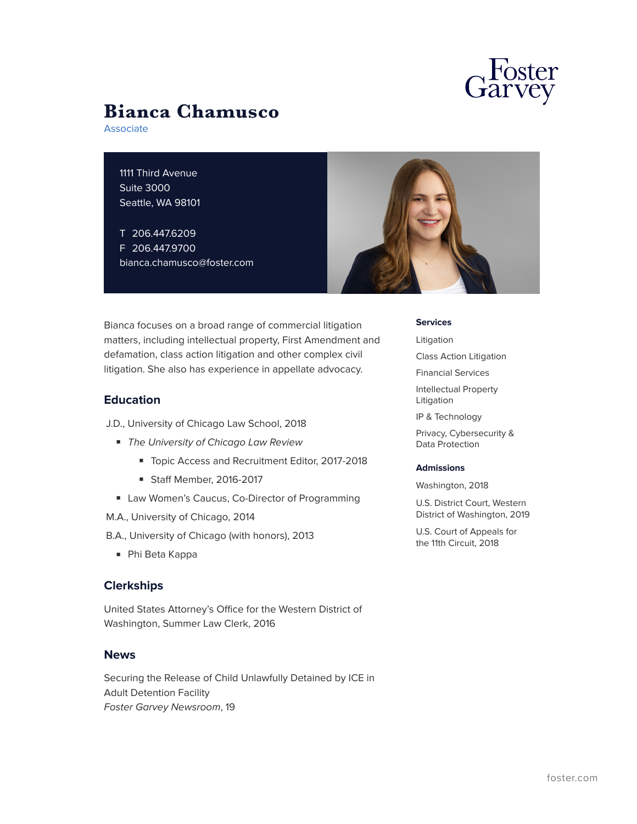

# **Bianca Chamusco**

Associate

1111 Third Avenue Suite 3000 Seattle, WA 98101

T 206.447.6209 F 206.447.9700 bianca.chamusco@foster.com



Bianca focuses on a broad range of commercial litigation matters, including intellectual property, First Amendment and defamation, class action litigation and other complex civil litigation. She also has experience in appellate advocacy.

## **Education**

- J.D., University of Chicago Law School, 2018
	- *The University of Chicago Law Review*
		- Topic Access and Recruitment Editor, 2017-2018
		- Staff Member, 2016-2017
	- Law Women's Caucus, Co-Director of Programming
- M.A., University of Chicago, 2014
- B.A., University of Chicago (with honors), 2013
	- Phi Beta Kappa

## **Clerkships**

United States Attorney's Office for the Western District of Washington, Summer Law Clerk, 2016

### **News**

Securing the Release of Child Unlawfully Detained by ICE in Adult Detention Facility *Foster Garvey Newsroom*, 19

#### **Services**

Litigation

Class Action Litigation

Financial Services

Intellectual Property Litigation

IP & Technology

Privacy, Cybersecurity & Data Protection

#### **Admissions**

Washington, 2018

U.S. District Court, Western District of Washington, 2019

U.S. Court of Appeals for the 11th Circuit, 2018